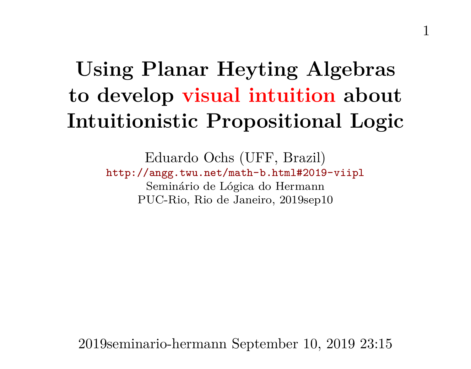# **Using Planar Heyting Algebras to develop visual intuition about Intuitionistic Propositional Logic**

Eduardo Ochs (UFF, Brazil) <http://angg.twu.net/math-b.html#2019-viipl> Seminário de Lógica do Hermann PUC-Rio, Rio de Janeiro, 2019sep10

2019seminario-hermann September 10, 2019 23:15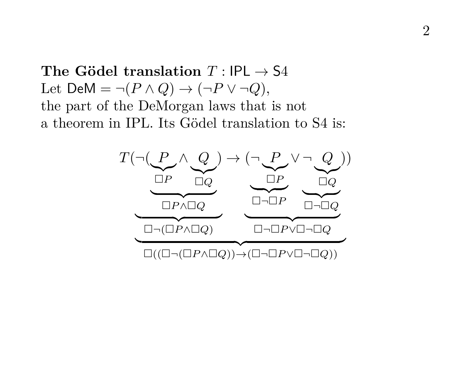The Gödel translation  $T \cdot$  IPL  $\rightarrow$  S4 Let  $DeM = \neg (P \land Q) \rightarrow (\neg P \lor \neg Q)$ , the part of the DeMorgan laws that is not a theorem in IPL. Its Gödel translation to S4 is:

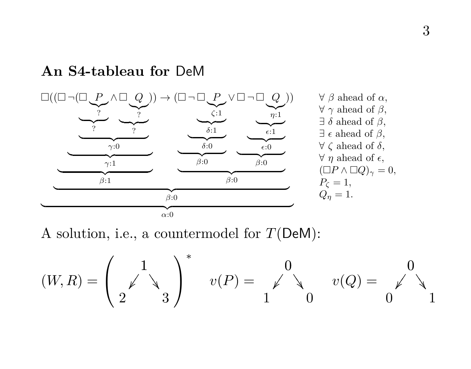#### **An S4-tableau for** DeM



A solution, i.e., a countermodel for  $T(\mathsf{DeM})$ :

$$
(W,R)=\left(\begin{array}{cc}1\\ \swarrow\end{array}\right)^*\quad v(P)=\begin{array}{cc}0\\ \swarrow\end{array}\quad v(Q)=\begin{array}{cc}0\\ \swarrow\end{array}\quad 1
$$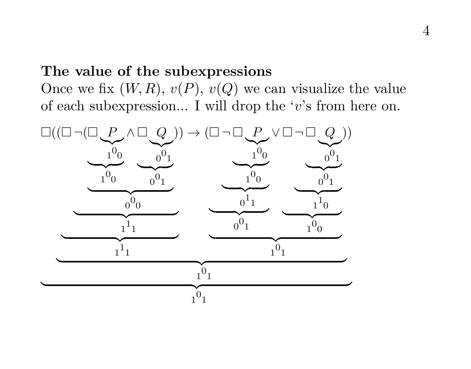#### **The value of the subexpressions**

Once we fix  $(W, R), v(P), v(Q)$  we can visualize the value of each subexpression... I will drop the 'v's from here on.

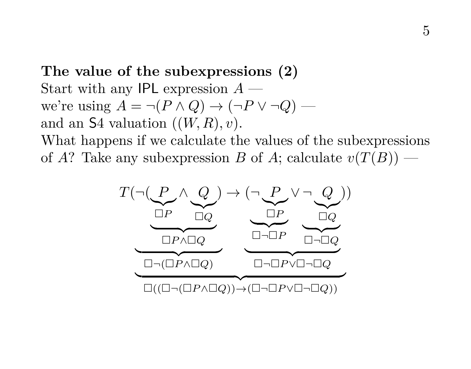**The value of the subexpressions (2)** Start with any IPL expression  $A$  we're using  $A = \neg (P \land Q) \rightarrow (\neg P \lor \neg Q)$  and an  $S4$  valuation  $((W, R), v)$ .

What happens if we calculate the values of the subexpressions of A? Take any subexpression B of A; calculate  $v(T(B))$  —

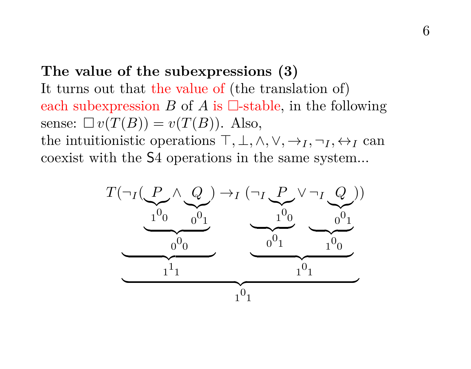#### **The value of the subexpressions (3)**

It turns out that the value of (the translation of) each subexpression B of A is  $\Box$ -stable, in the following sense:  $\Box v(T(B)) = v(T(B))$ . Also,

the intuitionistic operations  $\top, \bot, \wedge, \vee, \rightarrow_I, \neg_I, \leftrightarrow_I$  can coexist with the S4 operations in the same system...

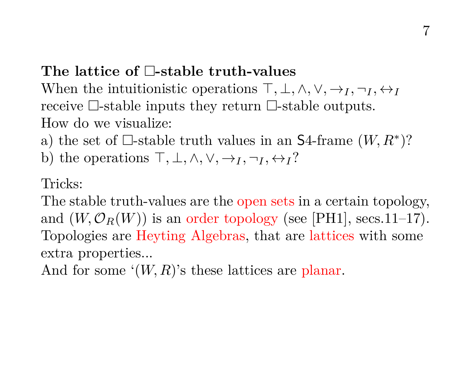## The lattice of **E**-stable truth-values

When the intuitionistic operations  $\top, \bot, \wedge, \vee, \rightarrow_I, \neg_I, \leftrightarrow_I$ receive  $\Box$ -stable inputs they return  $\Box$ -stable outputs. How do we visualize:

a) the set of  $\Box$ -stable truth values in an S4-frame  $(W, R^*)$ ?

b) the operations  $\top, \bot, \wedge, \vee, \rightarrow_I, \neg_I, \leftrightarrow_I ?$ 

#### Tricks:

The stable truth-values are the open sets in a certain topology, and  $(W, \mathcal{O}_R(W))$  is an order topology (see [PH1], secs.11–17). Topologies are Heyting Algebras, that are lattices with some extra properties...

And for some  $(W, R)$ 's these lattices are planar.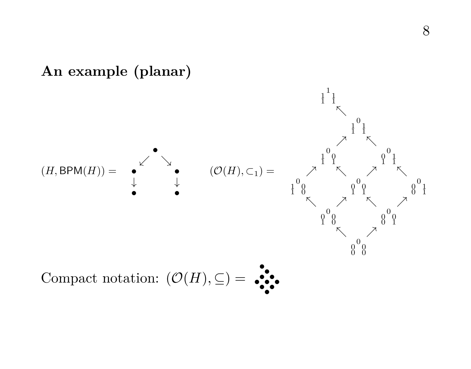

8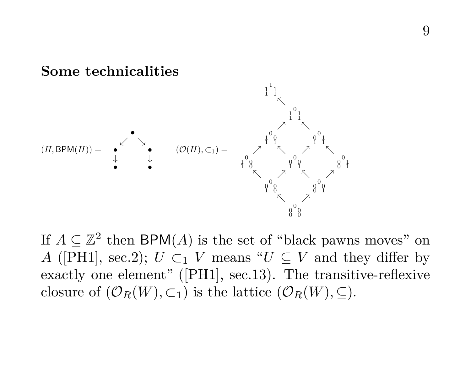

If  $A \subseteq \mathbb{Z}^2$  then BPM(A) is the set of "black pawns moves" on A ([PH1], sec.2);  $U \subset_1 V$  means " $U \subset V$  and they differ by exactly one element" ([PH1], sec.13). The transitive-reflexive closure of  $(\mathcal{O}_R(W), \subset_1)$  is the lattice  $(\mathcal{O}_R(W), \subset).$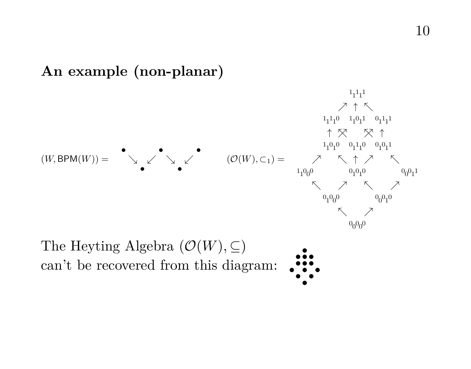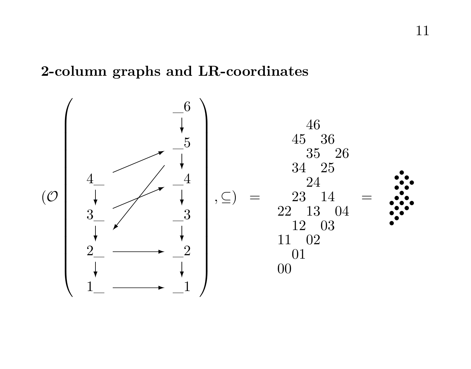## **2-column graphs and LR-coordinates**

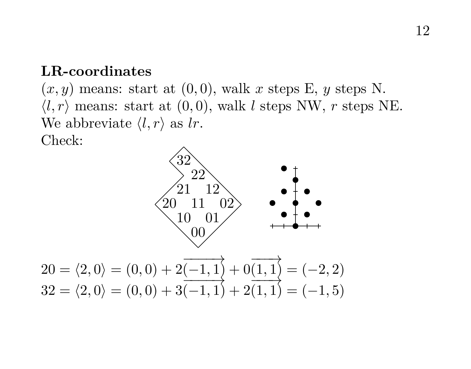#### **LR-coordinates**

 $(x, y)$  means: start at  $(0, 0)$ , walk x steps E, y steps N.  $\langle l, r \rangle$  means: start at  $(0, 0)$ , walk l steps NW, r steps NE. We abbreviate  $\langle l, r \rangle$  as lr. Check:



$$
32 = \langle 2, 0 \rangle = (0, 0) + 3 \overline{(-1, 1)} + 2 \overline{(1, 1)} = (-1, 5)
$$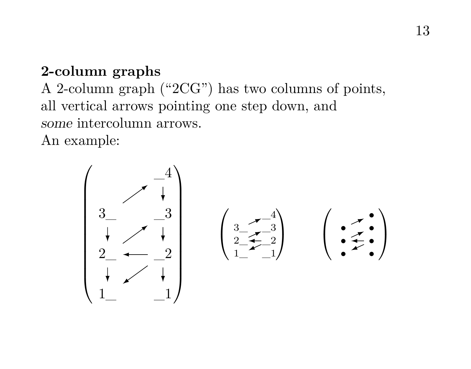### **2-column graphs**

A 2-column graph ("2CG") has two columns of points, all vertical arrows pointing one step down, and some intercolumn arrows. An example:

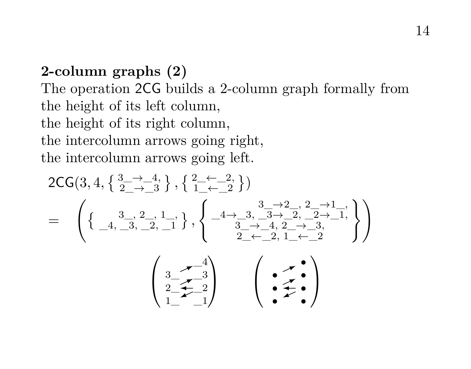## **2-column graphs (2)** The operation 2CG builds a 2-column graph formally from the height of its left column, the height of its right column, the intercolumn arrows going right, the intercolumn arrows going left.

$$
2\text{CG}(3,4,\left\{\frac{3}{2}\rightarrow\frac{4}{3}\right\},\left\{\frac{2-\leftarrow-2}{1-\leftarrow-2}\right\})
$$
\n
$$
=\left(\left\{\frac{3}{4},\frac{3}{2},\frac{2}{2},\frac{1}{1}\right\},\left\{\frac{-4\rightarrow3,\frac{3}{4}\rightarrow2,\frac{2}{2},\frac{2\rightarrow1}{2\rightarrow-1}}{\frac{3}{2}-\leftarrow4,\frac{2}{2}\rightarrow\frac{3}{2},\frac{3}{2\rightarrow-1}}\right\}\right)
$$
\n
$$
\left(\frac{3}{2},\frac{4}{2},\frac{3}{2}\right)
$$
\n
$$
\left(\frac{3}{2},\frac{4}{2},\frac{3}{2}\right)
$$
\n
$$
\left(\frac{3}{2},\frac{4}{2},\frac{3}{2}\right)
$$
\n
$$
\left(\frac{3}{2},\frac{4}{2},\frac{3}{2}\right)
$$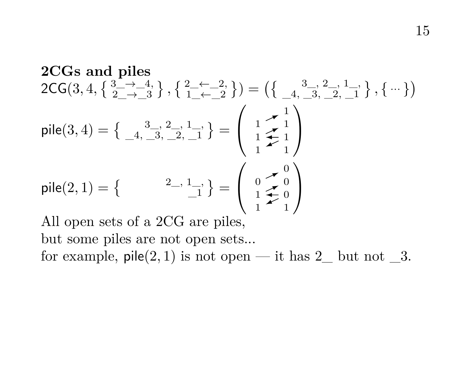**2CGs and piles**  
\n
$$
2CG(3, 4, \{ \begin{array}{l} 3 \longrightarrow -4 \\ 2 \longrightarrow -3 \end{array} \}, \{ \begin{array}{l} 2 \longrightarrow -2 \\ 1 \longrightarrow -2 \end{array} \}) = \left( \{ \begin{array}{l} 3 \longrightarrow 2 \\ 4 \longrightarrow 3 \end{array} \right), \{ \cdots \} \right)
$$
\n
$$
pile(3, 4) = \{ \begin{array}{l} 3 \longrightarrow 2 \\ -4 \longrightarrow 3 \end{array} \right\} \cdot \frac{1}{2} \cdot \frac{1}{1} \} = \begin{pmatrix} 1 & \nearrow 1 \\ 1 & \nearrow 1 \\ 1 & \nearrow 1 \\ 1 & \nearrow 1 \end{pmatrix}
$$
\n
$$
pile(2, 1) = \{ \begin{array}{l} 2 \longrightarrow 1 \longrightarrow 1 \\ -1 \longrightarrow 1 \end{array} \} = \begin{pmatrix} 0 & \nearrow 0 \\ 1 & \nearrow 0 \\ 1 & \nearrow 0 \\ 1 & \nearrow 0 \end{pmatrix}
$$

All open sets of a 2CG are piles, but some piles are not open sets... for example,  $\text{pile}(2, 1)$  is not open — it has  $2$  but not  $3$ .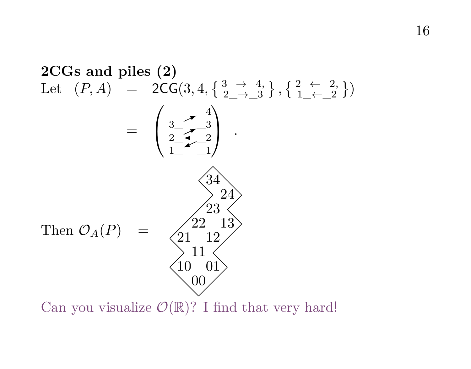

Can you visualize  $\mathcal{O}(\mathbb{R})$ ? I find that very hard!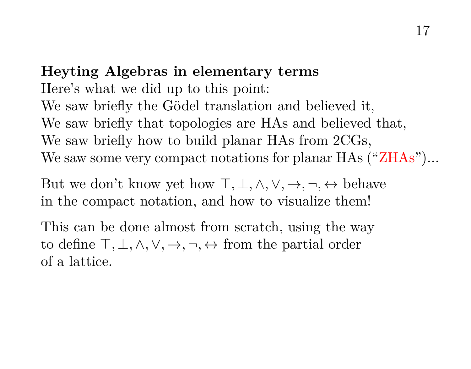## **Heyting Algebras in elementary terms** Here's what we did up to this point: We saw briefly the Gödel translation and believed it, We saw briefly that topologies are HAs and believed that, We saw briefly how to build planar HAs from 2CGs, We saw some very compact notations for planar HAs  $("ZHAs")...$

But we don't know yet how  $\top, \bot, \wedge, \vee, \rightarrow, \neg, \leftrightarrow$  behave in the compact notation, and how to visualize them!

This can be done almost from scratch, using the way to define  $\top, \bot, \wedge, \vee, \rightarrow, \neg, \leftrightarrow$  from the partial order of a lattice.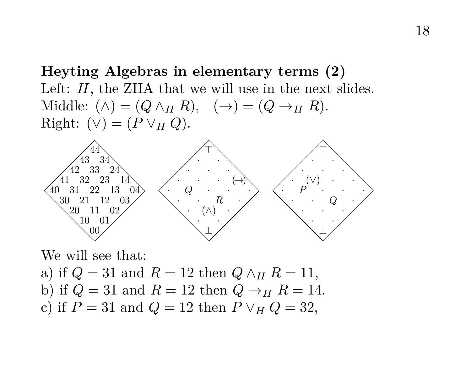**Heyting Algebras in elementary terms (2)** Left:  $H$ , the ZHA that we will use in the next slides. Middle:  $(\wedge) = (Q \wedge_H R), \quad (\rightarrow) = (Q \rightarrow_H R).$ Right:  $(\vee) = (P \vee_H Q)$ .



We will see that: a) if  $Q = 31$  and  $R = 12$  then  $Q \wedge_H R = 11$ , b) if  $Q = 31$  and  $R = 12$  then  $Q \rightarrow_H R = 14$ . c) if  $P = 31$  and  $Q = 12$  then  $P \vee_H Q = 32$ ,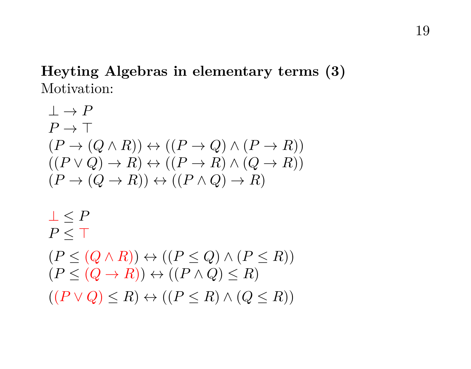## **Heyting Algebras in elementary terms (3)** Motivation:

$$
\bot \to P
$$
\n
$$
P \to \top
$$
\n
$$
(P \to (Q \land R)) \leftrightarrow ((P \to Q) \land (P \to R))
$$
\n
$$
((P \lor Q) \to R) \leftrightarrow ((P \to R) \land (Q \to R))
$$
\n
$$
(P \to (Q \to R)) \leftrightarrow ((P \land Q) \to R)
$$
\n
$$
\bot \leq P
$$
\n
$$
P \leq \top
$$
\n
$$
(P \leq (Q \land R)) \leftrightarrow ((P \leq Q) \land (P \leq R))
$$
\n
$$
(P \leq (Q \to R)) \leftrightarrow ((P \land Q) \leq R)
$$
\n
$$
((P \lor Q) \leq R) \leftrightarrow ((P \leq R) \land (Q \leq R))
$$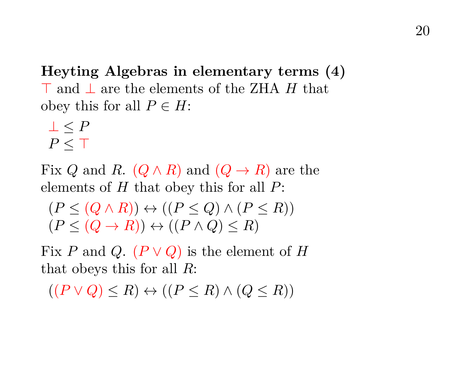**Heyting Algebras in elementary terms (4)**  $\top$  and ⊥ are the elements of the ZHA H that obey this for all  $P \in H$ :

$$
\begin{array}{c} \bot \leq P \\ P \leq \top \end{array}
$$

Fix Q and R.  $(Q \wedge R)$  and  $(Q \rightarrow R)$  are the elements of  $H$  that obey this for all  $P$ :

$$
(P \leq (Q \land R)) \leftrightarrow ((P \leq Q) \land (P \leq R))
$$
  

$$
(P \leq (Q \rightarrow R)) \leftrightarrow ((P \land Q) \leq R)
$$

Fix P and Q.  $(P \vee Q)$  is the element of H that obeys this for all  $R$ :

 $((P \vee Q) \leq R) \leftrightarrow ((P \leq R) \wedge (Q \leq R))$